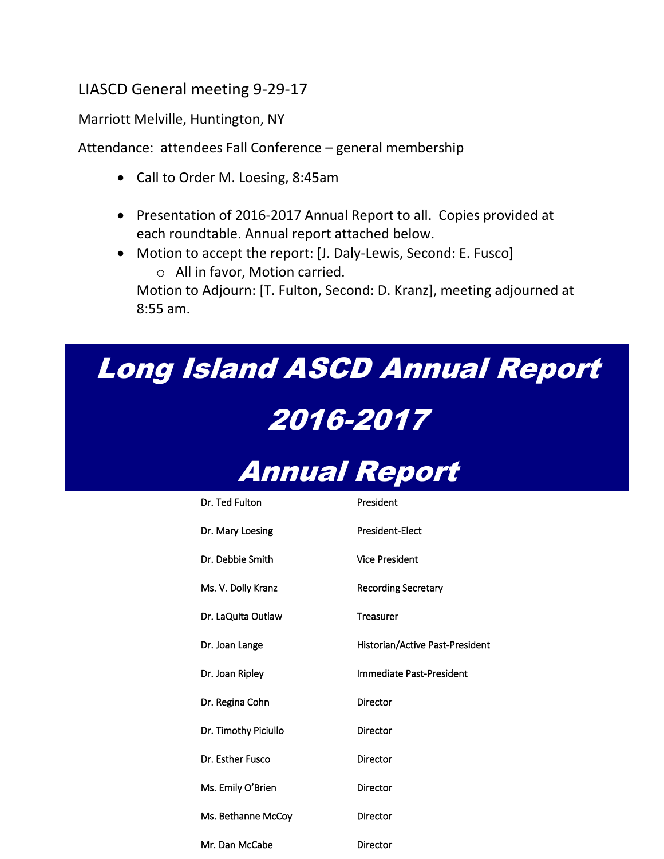### LIASCD General meeting 9-29-17

Marriott Melville, Huntington, NY

Attendance: attendees Fall Conference – general membership

- Call to Order M. Loesing, 8:45am
- Presentation of 2016-2017 Annual Report to all. Copies provided at each roundtable. Annual report attached below.
- Motion to accept the report: [J. Daly-Lewis, Second: E. Fusco] o All in favor, Motion carried.

Motion to Adjourn: [T. Fulton, Second: D. Kranz], meeting adjourned at 8:55 am.

## Long Island ASCD Annual Report

# 2016-2017



| Dr. Ted Fulton       | President                       |
|----------------------|---------------------------------|
| Dr. Mary Loesing     | <b>President-Elect</b>          |
| Dr. Debbie Smith     | <b>Vice President</b>           |
| Ms. V. Dolly Kranz   | <b>Recording Secretary</b>      |
| Dr. LaQuita Outlaw   | <b>Treasurer</b>                |
| Dr. Joan Lange       | Historian/Active Past-President |
| Dr. Joan Ripley      | Immediate Past-President        |
| Dr. Regina Cohn      | Director                        |
| Dr. Timothy Piciullo | Director                        |
| Dr. Esther Fusco     | Director                        |
| Ms. Emily O'Brien    | Director                        |
| Ms. Bethanne McCoy   | Director                        |
| Mr. Dan McCabe       | Director                        |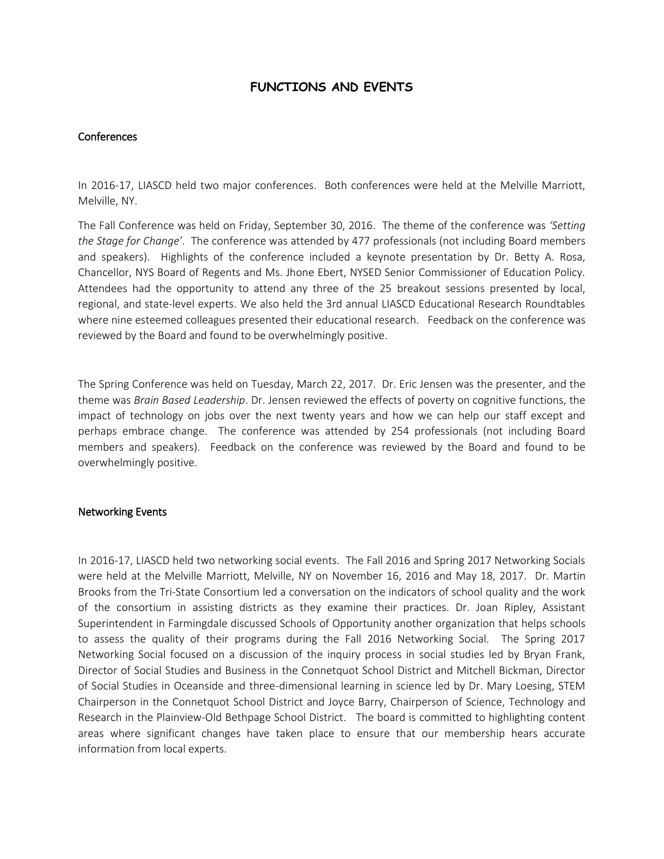#### **FUNCTIONS AND EVENTS**

#### **Conferences**

In 2016-17, LIASCD held two major conferences. Both conferences were held at the Melville Marriott, Melville, NY.

The Fall Conference was held on Friday, September 30, 2016. The theme of the conference was *'Setting the Stage for Change'*. The conference was attended by 477 professionals (not including Board members and speakers). Highlights of the conference included a keynote presentation by Dr. Betty A. Rosa, Chancellor, NYS Board of Regents and Ms. Jhone Ebert, NYSED Senior Commissioner of Education Policy. Attendees had the opportunity to attend any three of the 25 breakout sessions presented by local, regional, and state-level experts. We also held the 3rd annual LIASCD Educational Research Roundtables where nine esteemed colleagues presented their educational research. Feedback on the conference was reviewed by the Board and found to be overwhelmingly positive.

The Spring Conference was held on Tuesday, March 22, 2017. Dr. Eric Jensen was the presenter, and the theme was *Brain Based Leadership*. Dr. Jensen reviewed the effects of poverty on cognitive functions, the impact of technology on jobs over the next twenty years and how we can help our staff except and perhaps embrace change. The conference was attended by 254 professionals (not including Board members and speakers). Feedback on the conference was reviewed by the Board and found to be overwhelmingly positive.

#### Networking Events

In 2016-17, LIASCD held two networking social events. The Fall 2016 and Spring 2017 Networking Socials were held at the Melville Marriott, Melville, NY on November 16, 2016 and May 18, 2017. Dr. Martin Brooks from the Tri-State Consortium led a conversation on the indicators of school quality and the work of the consortium in assisting districts as they examine their practices. Dr. Joan Ripley, Assistant Superintendent in Farmingdale discussed Schools of Opportunity another organization that helps schools to assess the quality of their programs during the Fall 2016 Networking Social. The Spring 2017 Networking Social focused on a discussion of the inquiry process in social studies led by Bryan Frank, Director of Social Studies and Business in the Connetquot School District and Mitchell Bickman, Director of Social Studies in Oceanside and three-dimensional learning in science led by Dr. Mary Loesing, STEM Chairperson in the Connetquot School District and Joyce Barry, Chairperson of Science, Technology and Research in the Plainview-Old Bethpage School District. The board is committed to highlighting content areas where significant changes have taken place to ensure that our membership hears accurate information from local experts.